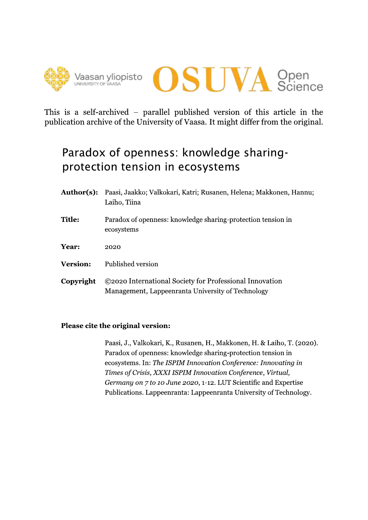



This is a self-archived – parallel published version of this article in the publication archive of the University of Vaasa. It might differ from the original.

# Paradox of openness: knowledge sharingprotection tension in ecosystems

- Author(s): Paasi, Jaakko; Valkokari, Katri; Rusanen, Helena; Makkonen, Hannu; Laiho, Tiina
- **Title:** Paradox of openness: knowledge sharing-protection tension in ecosystems
- Year: 2020
- **Version:** Published version
- ©2020 International Society for Professional Innovation Copyright Management, Lappeenranta University of Technology

### Please cite the original version:

Paasi, J., Valkokari, K., Rusanen, H., Makkonen, H. & Laiho, T. (2020). Paradox of openness: knowledge sharing-protection tension in ecosystems. In: The ISPIM Innovation Conference: Innovating in Times of Crisis, XXXI ISPIM Innovation Conference, Virtual, Germany on 7 to 10 June 2020, 1-12. LUT Scientific and Expertise Publications. Lappeenranta: Lappeenranta University of Technology.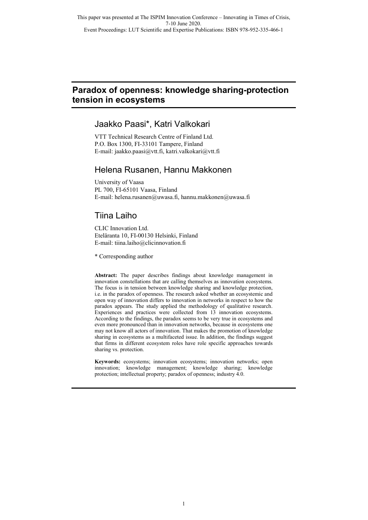### **Paradox of openness: knowledge sharing-protection tension in ecosystems**

### Jaakko Paasi\*, Katri Valkokari

VTT Technical Research Centre of Finland Ltd. P.O. Box 1300, FI-33101 Tampere, Finland E-mail: jaakko.paasi@vtt.fi, katri.valkokari@vtt.fi

### Helena Rusanen, Hannu Makkonen

University of Vaasa PL 700, FI-65101 Vaasa, Finland E-mail: helena.rusanen@uwasa.fi, hannu.makkonen@uwasa.fi

## Tiina Laiho

CLIC Innovation Ltd. Eteläranta 10, FI-00130 Helsinki, Finland E-mail: tiina.laiho@clicinnovation.fi

\* Corresponding author

**Abstract:** The paper describes findings about knowledge management in innovation constellations that are calling themselves as innovation ecosystems. The focus is in tension between knowledge sharing and knowledge protection, i.e. in the paradox of openness. The research asked whether an ecosystemic and open way of innovation differs to innovation in networks in respect to how the paradox appears. The study applied the methodology of qualitative research. Experiences and practices were collected from 13 innovation ecosystems. According to the findings, the paradox seems to be very true in ecosystems and even more pronounced than in innovation networks, because in ecosystems one may not know all actors of innovation. That makes the promotion of knowledge sharing in ecosystems as a multifaceted issue. In addition, the findings suggest that firms in different ecosystem roles have role specific approaches towards sharing vs. protection.

**Keywords:** ecosystems; innovation ecosystems; innovation networks; open innovation; knowledge management; knowledge sharing; knowledge protection; intellectual property; paradox of openness; industry 4.0.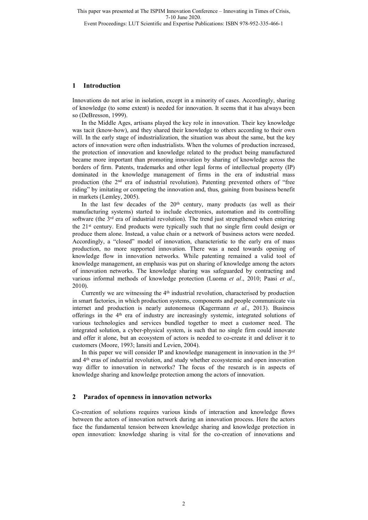Event Proceedings: LUT Scientific and Expertise Publications: ISBN 978-952-335-466-1

#### **1 Introduction**

Innovations do not arise in isolation, except in a minority of cases. Accordingly, sharing of knowledge (to some extent) is needed for innovation. It seems that it has always been so (DeBresson, 1999).

In the Middle Ages, artisans played the key role in innovation. Their key knowledge was tacit (know-how), and they shared their knowledge to others according to their own will. In the early stage of industrialization, the situation was about the same, but the key actors of innovation were often industrialists. When the volumes of production increased, the protection of innovation and knowledge related to the product being manufactured became more important than promoting innovation by sharing of knowledge across the borders of firm. Patents, trademarks and other legal forms of intellectual property (IP) dominated in the knowledge management of firms in the era of industrial mass production (the 2nd era of industrial revolution). Patenting prevented others of "free riding" by imitating or competing the innovation and, thus, gaining from business benefit in markets (Lemley, 2005).

In the last few decades of the  $20<sup>th</sup>$  century, many products (as well as their manufacturing systems) started to include electronics, automation and its controlling software (the  $3<sup>rd</sup>$  era of industrial revolution). The trend just strengthened when entering the  $21<sup>st</sup>$  century. End products were typically such that no single firm could design or produce them alone. Instead, a value chain or a network of business actors were needed. Accordingly, a "closed" model of innovation, characteristic to the early era of mass production, no more supported innovation. There was a need towards opening of knowledge flow in innovation networks. While patenting remained a valid tool of knowledge management, an emphasis was put on sharing of knowledge among the actors of innovation networks. The knowledge sharing was safeguarded by contracting and various informal methods of knowledge protection (Luoma *et al*., 2010; Paasi *et al*., 2010).

Currently we are witnessing the 4th industrial revolution, characterised by production in smart factories, in which production systems, components and people communicate via internet and production is nearly autonomous (Kagermann *et al*., 2013). Business offerings in the 4th era of industry are increasingly systemic, integrated solutions of various technologies and services bundled together to meet a customer need. The integrated solution, a cyber-physical system, is such that no single firm could innovate and offer it alone, but an ecosystem of actors is needed to co-create it and deliver it to customers (Moore, 1993; Iansiti and Levien, 2004).

In this paper we will consider IP and knowledge management in innovation in the  $3<sup>rd</sup>$ and 4th eras of industrial revolution, and study whether ecosystemic and open innovation way differ to innovation in networks? The focus of the research is in aspects of knowledge sharing and knowledge protection among the actors of innovation.

#### **2 Paradox of openness in innovation networks**

Co-creation of solutions requires various kinds of interaction and knowledge flows between the actors of innovation network during an innovation process. Here the actors face the fundamental tension between knowledge sharing and knowledge protection in open innovation: knowledge sharing is vital for the co-creation of innovations and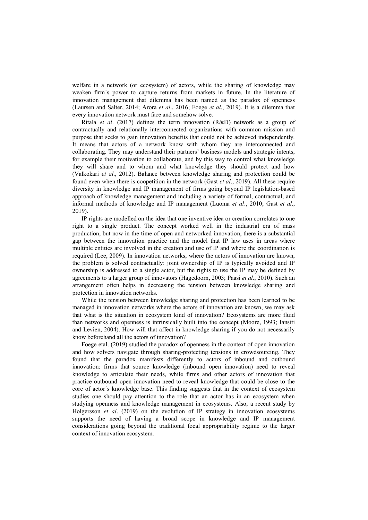welfare in a network (or ecosystem) of actors, while the sharing of knowledge may weaken firm´s power to capture returns from markets in future. In the literature of innovation management that dilemma has been named as the paradox of openness (Laursen and Salter, 2014; Arora *et al*., 2016; Foege *et al*., 2019). It is a dilemma that every innovation network must face and somehow solve.

Ritala *et al*. (2017) defines the term innovation (R&D) network as a group of contractually and relationally interconnected organizations with common mission and purpose that seeks to gain innovation benefits that could not be achieved independently. It means that actors of a network know with whom they are interconnected and collaborating. They may understand their partners' business models and strategic intents, for example their motivation to collaborate, and by this way to control what knowledge they will share and to whom and what knowledge they should protect and how (Valkokari *et al*., 2012). Balance between knowledge sharing and protection could be found even when there is coopetition in the network (Gast *et al*., 2019). All these require diversity in knowledge and IP management of firms going beyond IP legislation-based approach of knowledge management and including a variety of formal, contractual, and informal methods of knowledge and IP management (Luoma *et al*., 2010; Gast *et al*., 2019).

IP rights are modelled on the idea that one inventive idea or creation correlates to one right to a single product. The concept worked well in the industrial era of mass production, but now in the time of open and networked innovation, there is a substantial gap between the innovation practice and the model that IP law uses in areas where multiple entities are involved in the creation and use of IP and where the coordination is required (Lee, 2009). In innovation networks, where the actors of innovation are known, the problem is solved contractually: joint ownership of IP is typically avoided and IP ownership is addressed to a single actor, but the rights to use the IP may be defined by agreements to a larger group of innovators (Hagedoorn, 2003; Paasi *et al*., 2010). Such an arrangement often helps in decreasing the tension between knowledge sharing and protection in innovation networks.

While the tension between knowledge sharing and protection has been learned to be managed in innovation networks where the actors of innovation are known, we may ask that what is the situation in ecosystem kind of innovation? Ecosystems are more fluid than networks and openness is intrinsically built into the concept (Moore, 1993; Iansiti and Levien, 2004). How will that affect in knowledge sharing if you do not necessarily know beforehand all the actors of innovation?

Foege etal. (2019) studied the paradox of openness in the context of open innovation and how solvers navigate through sharing-protecting tensions in crowdsourcing. They found that the paradox manifests differently to actors of inbound and outbound innovation: firms that source knowledge (inbound open innovation) need to reveal knowledge to articulate their needs, while firms and other actors of innovation that practice outbound open innovation need to reveal knowledge that could be close to the core of actor´s knowledge base. This finding suggests that in the context of ecosystem studies one should pay attention to the role that an actor has in an ecosystem when studying openness and knowledge management in ecosystems. Also, a recent study by Holgersson *et al*. (2019) on the evolution of IP strategy in innovation ecosystems supports the need of having a broad scope in knowledge and IP management considerations going beyond the traditional focal appropriability regime to the larger context of innovation ecosystem.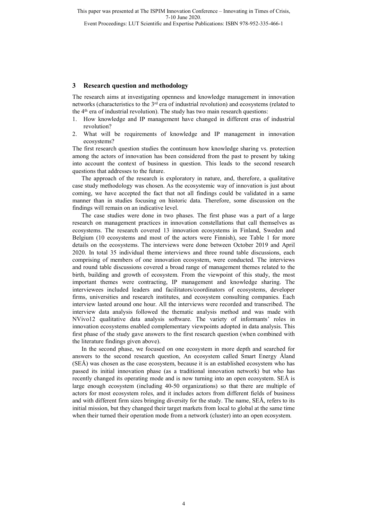Event Proceedings: LUT Scientific and Expertise Publications: ISBN 978-952-335-466-1

#### **3 Research question and methodology**

The research aims at investigating openness and knowledge management in innovation networks (characteristics to the 3<sup>rd</sup> era of industrial revolution) and ecosystems (related to the  $4<sup>th</sup>$  era of industrial revolution). The study has two main research questions:

- 1. How knowledge and IP management have changed in different eras of industrial revolution?
- 2. What will be requirements of knowledge and IP management in innovation ecosystems?

The first research question studies the continuum how knowledge sharing vs. protection among the actors of innovation has been considered from the past to present by taking into account the context of business in question. This leads to the second research questions that addresses to the future.

The approach of the research is exploratory in nature, and, therefore, a qualitative case study methodology was chosen. As the ecosystemic way of innovation is just about coming, we have accepted the fact that not all findings could be validated in a same manner than in studies focusing on historic data. Therefore, some discussion on the findings will remain on an indicative level.

The case studies were done in two phases. The first phase was a part of a large research on management practices in innovation constellations that call themselves as ecosystems. The research covered 13 innovation ecosystems in Finland, Sweden and Belgium (10 ecosystems and most of the actors were Finnish), see Table 1 for more details on the ecosystems. The interviews were done between October 2019 and April 2020. In total 35 individual theme interviews and three round table discussions, each comprising of members of one innovation ecosystem, were conducted. The interviews and round table discussions covered a broad range of management themes related to the birth, building and growth of ecosystem. From the viewpoint of this study, the most important themes were contracting, IP management and knowledge sharing. The interviewees included leaders and facilitators/coordinators of ecosystems, developer firms, universities and research institutes, and ecosystem consulting companies. Each interview lasted around one hour. All the interviews were recorded and transcribed. The interview data analysis followed the thematic analysis method and was made with NVivo12 qualitative data analysis software. The variety of informants' roles in innovation ecosystems enabled complementary viewpoints adopted in data analysis. This first phase of the study gave answers to the first research question (when combined with the literature findings given above).

In the second phase, we focused on one ecosystem in more depth and searched for answers to the second research question, An ecosystem called Smart Energy Åland (SEÅ) was chosen as the case ecosystem, because it is an established ecosystem who has passed its initial innovation phase (as a traditional innovation network) but who has recently changed its operating mode and is now turning into an open ecosystem. SEÅ is large enough ecosystem (including 40-50 organizations) so that there are multiple of actors for most ecosystem roles, and it includes actors from different fields of business and with different firm sizes bringing diversity for the study. The name, SEÅ, refers to its initial mission, but they changed their target markets from local to global at the same time when their turned their operation mode from a network (cluster) into an open ecosystem.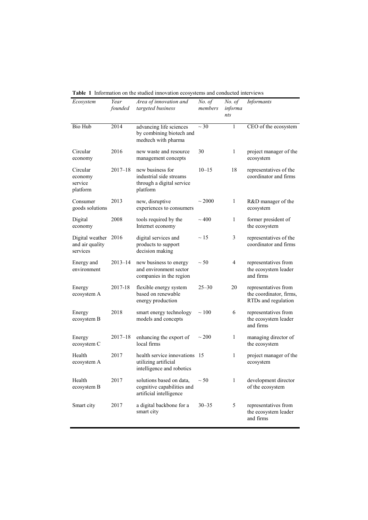| Ecosystem                                           | Year<br>founded | Area of innovation and<br>targeted business                                          | No. of<br>members | No. of<br>informa<br>nts | <i>Informants</i>                                                      |
|-----------------------------------------------------|-----------------|--------------------------------------------------------------------------------------|-------------------|--------------------------|------------------------------------------------------------------------|
| Bio Hub                                             | 2014            | advancing life sciences<br>by combining biotech and<br>medtech with pharma           | $\sim$ 30         | 1                        | CEO of the ecosystem                                                   |
| Circular<br>economy                                 | 2016            | new waste and resource<br>management concepts                                        | 30                | 1                        | project manager of the<br>ecosystem                                    |
| Circular<br>economy<br>service<br>platform          | $2017 - 18$     | new business for<br>industrial side streams<br>through a digital service<br>platform | $10 - 15$         | 18                       | representatives of the<br>coordinator and firms                        |
| Consumer<br>goods solutions                         | 2013            | new, disruptive<br>experiences to consumers                                          | $\sim 2000$       | 1                        | R&D manager of the<br>ecosystem                                        |
| Digital<br>economy                                  | 2008            | tools required by the<br>Internet economy                                            | $\sim$ 400        | 1                        | former president of<br>the ecosystem                                   |
| Digital weather 2016<br>and air quality<br>services |                 | digital services and<br>products to support<br>decision making                       | $\sim$ 15         | 3                        | representatives of the<br>coordinator and firms                        |
| Energy and<br>environment                           | $2013 - 14$     | new business to energy<br>and environment sector<br>companies in the region          | $\sim$ 50         | 4                        | representatives from<br>the ecosystem leader<br>and firms              |
| Energy<br>ecosystem A                               | 2017-18         | flexible energy system<br>based on renewable<br>energy production                    | $25 - 30$         | 20                       | representatives from<br>the coordinator, firms,<br>RTDs and regulation |
| Energy<br>ecosystem B                               | 2018            | smart energy technology<br>models and concepts                                       | $\sim$ 100        | 6                        | representatives from<br>the ecosystem leader<br>and firms              |
| Energy<br>ecosystem C                               | $2017 - 18$     | enhancing the export of<br>local firms                                               | $\sim$ 200        | 1                        | managing director of<br>the ecosystem                                  |
| Health<br>ecosystem A                               | 2017            | health service innovations 15<br>utilizing artificial<br>intelligence and robotics   |                   | 1                        | project manager of the<br>ecosystem                                    |
| Health<br>ecosystem B                               | 2017            | solutions based on data,<br>cognitive capabilities and<br>artificial intelligence    | $\sim$ 50         | 1                        | development director<br>of the ecosystem                               |
| Smart city                                          | 2017            | a digital backbone for a<br>smart city                                               | $30 - 35$         | 5                        | representatives from<br>the ecosystem leader<br>and firms              |

**Table 1** Information on the studied innovation ecosystems and conducted interviews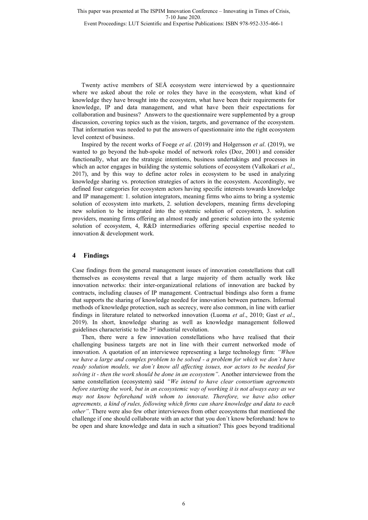Event Proceedings: LUT Scientific and Expertise Publications: ISBN 978-952-335-466-1

Twenty active members of SEÅ ecosystem were interviewed by a questionnaire where we asked about the role or roles they have in the ecosystem, what kind of knowledge they have brought into the ecosystem, what have been their requirements for knowledge, IP and data management, and what have been their expectations for collaboration and business? Answers to the questionnaire were supplemented by a group discussion, covering topics such as the vision, targets, and governance of the ecosystem. That information was needed to put the answers of questionnaire into the right ecosystem level context of business.

Inspired by the recent works of Foege *et al*. (2019) and Holgersson *et al*. (2019), we wanted to go beyond the hub-spoke model of network roles (Doz, 2001) and consider functionally, what are the strategic intentions, business undertakings and processes in which an actor engages in building the systemic solutions of ecosystem (Valkokari *et al*., 2017), and by this way to define actor roles in ecosystem to be used in analyzing knowledge sharing vs. protection strategies of actors in the ecosystem. Accordingly, we defined four categories for ecosystem actors having specific interests towards knowledge and IP management: 1. solution integrators, meaning firms who aims to bring a systemic solution of ecosystem into markets, 2. solution developers, meaning firms developing new solution to be integrated into the systemic solution of ecosystem, 3. solution providers, meaning firms offering an almost ready and generic solution into the systemic solution of ecosystem, 4, R&D intermediaries offering special expertise needed to innovation & development work.

#### **4 Findings**

Case findings from the general management issues of innovation constellations that call themselves as ecosystems reveal that a large majority of them actually work like innovation networks: their inter-organizational relations of innovation are backed by contracts, including clauses of IP management. Contractual bindings also form a frame that supports the sharing of knowledge needed for innovation between partners. Informal methods of knowledge protection, such as secrecy, were also common, in line with earlier findings in literature related to networked innovation (Luoma *et al*., 2010; Gast *et al*., 2019). In short, knowledge sharing as well as knowledge management followed guidelines characteristic to the 3rd industrial revolution.

Then, there were a few innovation constellations who have realised that their challenging business targets are not in line with their current networked mode of innovation. A quotation of an interviewee representing a large technology firm: *"When we have a large and complex problem to be solved - a problem for which we don´t have ready solution models, we don´t know all affecting issues, nor actors to be needed for solving it - then the work should be done in an ecosystem"*. Another interviewee from the same constellation (ecosystem) said *"We intend to have clear consortium agreements before starting the work, but in an ecosystemic way of working it is not always easy as we may not know beforehand with whom to innovate. Therefore, we have also other agreements, a kind of rules, following which firms can share knowledge and data to each other"*. There were also few other interviewees from other ecosystems that mentioned the challenge if one should collaborate with an actor that you don´t know beforehand: how to be open and share knowledge and data in such a situation? This goes beyond traditional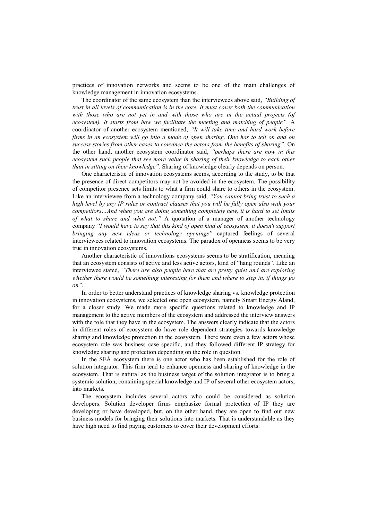practices of innovation networks and seems to be one of the main challenges of knowledge management in innovation ecosystems.

The coordinator of the same ecosystem than the interviewees above said, *"Building of trust in all levels of communication is in the core. It must cover both the communication with those who are not yet in and with those who are in the actual projects (of ecosystem). It starts from how we facilitate the meeting and matching of people"*. A coordinator of another ecosystem mentioned, *"It will take time and hard work before firms in an ecosystem will go into a mode of open sharing. One has to tell on and on success stories from other cases to convince the actors from the benefits of sharing"*. On the other hand, another ecosystem coordinator said, *"perhaps there are now in this ecosystem such people that see more value in sharing of their knowledge to each other than in sitting on their knowledge"*. Sharing of knowledge clearly depends on person.

One characteristic of innovation ecosystems seems, according to the study, to be that the presence of direct competitors may not be avoided in the ecosystem. The possibility of competitor presence sets limits to what a firm could share to others in the ecosystem. Like an interviewee from a technology company said, *"You cannot bring trust to such a high level by any IP rules or contract clauses that you will be fully open also with your competitors…And when you are doing something completely new, it is hard to set limits of what to share and what not."* A quotation of a manager of another technology company *"I would have to say that this kind of open kind of ecosystem, it doesn't support bringing any new ideas or technology openings"* captured feelings of several interviewees related to innovation ecosystems. The paradox of openness seems to be very true in innovation ecosystems.

Another characteristic of innovations ecosystems seems to be stratification, meaning that an ecosystem consists of active and less active actors, kind of "hang rounds". Like an interviewee stated, *"There are also people here that are pretty quiet and are exploring whether there would be something interesting for them and where to step in, if things go on"*.

In order to better understand practices of knowledge sharing vs. knowledge protection in innovation ecosystems, we selected one open ecosystem, namely Smart Energy Åland, for a closer study. We made more specific questions related to knowledge and IP management to the active members of the ecosystem and addressed the interview answers with the role that they have in the ecosystem. The answers clearly indicate that the actors in different roles of ecosystem do have role dependent strategies towards knowledge sharing and knowledge protection in the ecosystem. There were even a few actors whose ecosystem role was business case specific, and they followed different IP strategy for knowledge sharing and protection depending on the role in question.

In the SEÅ ecosystem there is one actor who has been established for the role of solution integrator. This firm tend to enhance openness and sharing of knowledge in the ecosystem. That is natural as the business target of the solution integrator is to bring a systemic solution, containing special knowledge and IP of several other ecosystem actors, into markets.

The ecosystem includes several actors who could be considered as solution developers. Solution developer firms emphasize formal protection of IP they are developing or have developed, but, on the other hand, they are open to find out new business models for bringing their solutions into markets. That is understandable as they have high need to find paying customers to cover their development efforts.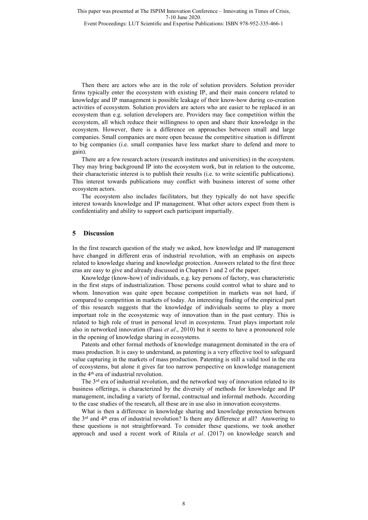Event Proceedings: LUT Scientific and Expertise Publications: ISBN 978-952-335-466-1

Then there are actors who are in the role of solution providers. Solution provider firms typically enter the ecosystem with existing IP, and their main concern related to knowledge and IP management is possible leakage of their know-how during co-creation activities of ecosystem. Solution providers are actors who are easier to be replaced in an ecosystem than e.g. solution developers are. Providers may face competition within the ecosystem, all which reduce their willingness to open and share their knowledge in the ecosystem. However, there is a difference on approaches between small and large companies. Small companies are more open because the competitive situation is different to big companies (i.e. small companies have less market share to defend and more to gain).

There are a few research actors (research institutes and universities) in the ecosystem. They may bring background IP into the ecosystem work, but in relation to the outcome, their characteristic interest is to publish their results (i.e. to write scientific publications). This interest towards publications may conflict with business interest of some other ecosystem actors.

The ecosystem also includes facilitators, but they typically do not have specific interest towards knowledge and IP management. What other actors expect from them is confidentiality and ability to support each participant impartially.

#### **5 Discussion**

In the first research question of the study we asked, how knowledge and IP management have changed in different eras of industrial revolution, with an emphasis on aspects related to knowledge sharing and knowledge protection. Answers related to the first three eras are easy to give and already discussed in Chapters 1 and 2 of the paper.

Knowledge (know-how) of individuals, e.g. key persons of factory, was characteristic in the first steps of industrialization. Those persons could control what to share and to whom. Innovation was quite open because competition in markets was not hard, if compared to competition in markets of today. An interesting finding of the empirical part of this research suggests that the knowledge of individuals seems to play a more important role in the ecosystemic way of innovation than in the past century. This is related to high role of trust in personal level in ecosystems. Trust plays important role also in networked innovation (Paasi *et al*., 2010) but it seems to have a pronounced role in the opening of knowledge sharing in ecosystems.

Patents and other formal methods of knowledge management dominated in the era of mass production. It is easy to understand, as patenting is a very effective tool to safeguard value capturing in the markets of mass production. Patenting is still a valid tool in the era of ecosystems, but alone it gives far too narrow perspective on knowledge management in the 4<sup>th</sup> era of industrial revolution.

The 3<sup>rd</sup> era of industrial revolution, and the networked way of innovation related to its business offerings, is characterized by the diversity of methods for knowledge and IP management, including a variety of formal, contractual and informal methods. According to the case studies of the research, all these are in use also in innovation ecosystems.

What is then a difference in knowledge sharing and knowledge protection between the  $3<sup>rd</sup>$  and  $4<sup>th</sup>$  eras of industrial revolution? Is there any difference at all? Answering to these questions is not straightforward. To consider these questions, we took another approach and used a recent work of Ritala *et al*. (2017) on knowledge search and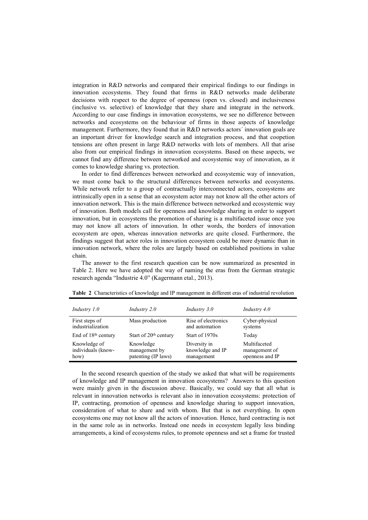integration in R&D networks and compared their empirical findings to our findings in innovation ecosystems. They found that firms in R&D networks made deliberate decisions with respect to the degree of openness (open vs. closed) and inclusiveness (inclusive vs. selective) of knowledge that they share and integrate in the network. According to our case findings in innovation ecosystems, we see no difference between networks and ecosystems on the behaviour of firms in those aspects of knowledge management. Furthermore, they found that in R&D networks actors´ innovation goals are an important driver for knowledge search and integration process, and that coopetion tensions are often present in large R&D networks with lots of members. All that arise also from our empirical findings in innovation ecosystems. Based on these aspects, we cannot find any difference between networked and ecosystemic way of innovation, as it comes to knowledge sharing vs. protection.

In order to find differences between networked and ecosystemic way of innovation, we must come back to the structural differences between networks and ecosystems. While network refer to a group of contractually interconnected actors, ecosystems are intrinsically open in a sense that an ecosystem actor may not know all the other actors of innovation network. This is the main difference between networked and ecosystemic way of innovation. Both models call for openness and knowledge sharing in order to support innovation, but in ecosystems the promotion of sharing is a multifaceted issue once you may not know all actors of innovation. In other words, the borders of innovation ecosystem are open, whereas innovation networks are quite closed. Furthermore, the findings suggest that actor roles in innovation ecosystem could be more dynamic than in innovation network, where the roles are largely based on established positions in value chain.

The answer to the first research question can be now summarized as presented in Table 2. Here we have adopted the way of naming the eras from the German strategic research agenda "Industrie 4.0" (Kagermann etal., 2013).

| Industry $1.0$                  | Industry $2.0$                    | Industry $3.0$      | Industry $4.0$  |
|---------------------------------|-----------------------------------|---------------------|-----------------|
| First steps of                  | Mass production                   | Rise of electronics | Cyber-physical  |
| industrialization               |                                   | and automation      | systems         |
| End of 18 <sup>th</sup> century | Start of 20 <sup>th</sup> century | Start of 1970s      | Today           |
| Knowledge of                    | Knowledge                         | Diversity in        | Multifaceted    |
| individuals (know-              | management by                     | knowledge and IP    | management of   |
| how)                            | patenting (IP laws)               | management          | openness and IP |

**Table 2** Characteristics of knowledge and IP management in different eras of industrial revolution

In the second research question of the study we asked that what will be requirements of knowledge and IP management in innovation ecosystems? Answers to this question were mainly given in the discussion above. Basically, we could say that all what is relevant in innovation networks is relevant also in innovation ecosystems: protection of IP, contracting, promotion of openness and knowledge sharing to support innovation, consideration of what to share and with whom. But that is not everything. In open ecosystems one may not know all the actors of innovation. Hence, hard contracting is not in the same role as in networks. Instead one needs in ecosystem legally less binding arrangements, a kind of ecosystems rules, to promote openness and set a frame for trusted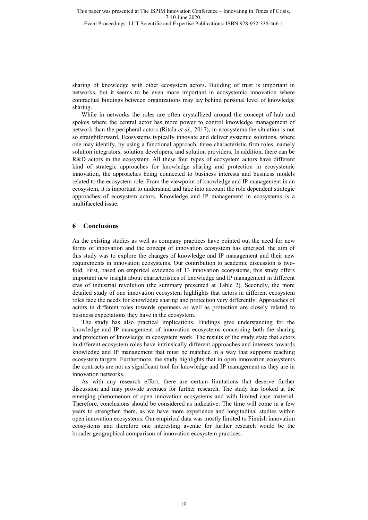Event Proceedings: LUT Scientific and Expertise Publications: ISBN 978-952-335-466-1

sharing of knowledge with other ecosystem actors. Building of trust is important in networks, but it seems to be even more important in ecosystemic innovation where contractual bindings between organizations may lay behind personal level of knowledge sharing.

While in networks the roles are often crystallized around the concept of hub and spokes where the central actor has more power to control knowledge management of network than the peripheral actors (Ritala *et al*., 2017), in ecosystems the situation is not so straightforward. Ecosystems typically innovate and deliver systemic solutions, where one may identify, by using a functional approach, three characteristic firm roles, namely solution integrators, solution developers, and solution providers. In addition, there can be R&D actors in the ecosystem. All these four types of ecosystem actors have different kind of strategic approaches for knowledge sharing and protection in ecosystemic innovation, the approaches being connected to business interests and business models related to the ecosystem role. From the viewpoint of knowledge and IP management in an ecosystem, it is important to understand and take into account the role dependent strategic approaches of ecosystem actors. Knowledge and IP management in ecosystems is a multifaceted issue.

#### **6 Conclusions**

As the existing studies as well as company practices have pointed out the need for new forms of innovation and the concept of innovation ecosystem has emerged, the aim of this study was to explore the changes of knowledge and IP management and their new requirements in innovation ecosystems. Our contribution to academic discussion is twofold. First, based on empirical evidence of 13 innovation ecosystems, this study offers important new insight about characteristics of knowledge and IP management in different eras of industrial revolution (the summary presented at Table 2). Secondly, the more detailed study of one innovation ecosystem highlights that actors in different ecosystem roles face the needs for knowledge sharing and protection very differently. Approaches of actors in different roles towards openness as well as protection are closely related to business expectations they have in the ecosystem.

The study has also practical implications. Findings give understanding for the knowledge and IP management of innovation ecosystems concerning both the sharing and protection of knowledge in ecosystem work. The results of the study state that actors in different ecosystem roles have intrinsically different approaches and interests towards knowledge and IP management that must be matched in a way that supports reaching ecosystem targets. Furthermore, the study highlights that in open innovation ecosystems the contracts are not as significant tool for knowledge and IP management as they are in innovation networks.

As with any research effort, there are certain limitations that deserve further discussion and may provide avenues for further research. The study has looked at the emerging phenomenon of open innovation ecosystems and with limited case material. Therefore, conclusions should be considered as indicative. The time will come in a few years to strengthen them, as we have more experience and longitudinal studies within open innovation ecosystems. Our empirical data was mostly limited to Finnish innovation ecosystems and therefore one interesting avenue for further research would be the broader geographical comparison of innovation ecosystem practices.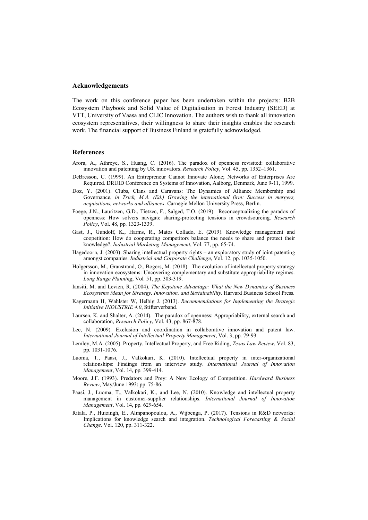#### **Acknowledgements**

The work on this conference paper has been undertaken within the projects: B2B Ecosystem Playbook and Solid Value of Digitalisation in Forest Industry (SEED) at VTT, University of Vaasa and CLIC Innovation. The authors wish to thank all innovation ecosystem representatives, their willingness to share their insights enables the research work. The financial support of Business Finland is gratefully acknowledged.

#### **References**

- Arora, A., Athreye, S., Huang, C. (2016). The paradox of openness revisited: collaborative innovation and patenting by UK innovators. *Research Policy*, Vol. 45, pp. 1352–1361.
- DeBresson, C. (1999). An Entrepreneur Cannot Innovate Alone; Networks of Enterprises Are Required. DRUID Conference on Systems of Innovation, Aalborg, Denmark, June 9-11, 1999.
- Doz, Y. (2001). Clubs, Clans and Caravans: The Dynamics of Alliance Membership and Governance, *in Trick, M.A. (Ed.) Growing the international firm: Success in mergers, acquisitions, networks and alliances*. Carnegie Mellon University Press, Berlin.
- Foege, J.N., Lauritzen, G.D., Tietzec, F., Salged, T.O. (2019). Reconceptualizing the paradox of openness: How solvers navigate sharing-protecting tensions in crowdsourcing. *Research Policy*, Vol. 48, pp. 1323-1339.
- Gast, J., Gundolf, K., Harms, R., Matos Collado, E. (2019). Knowledge management and coopetition: How do cooperating competitors balance the needs to share and protect their knowledge?, *Industrial Marketing Management*, Vol. 77, pp. 65-74.
- Hagedoorn, J. (2003). Sharing intellectual property rights an exploratory study of joint patenting amongst companies. *Industrial and Corporate Challenge*, Vol. 12, pp. 1035-1050.
- Holgersson, M., Granstrand, O., Bogers, M. (2018). The evolution of intellectual property strategy in innovation ecosystems: Uncovering complementary and substitute appropriability regimes. *Long Range Planning*, Vol. 51, pp. 303-319.
- Iansiti, M. and Levien, R. (2004). *The Keystone Advantage: What the New Dynamics of Business Ecosystems Mean for Strategy, Innovation, and Sustainability*. Harvard Business School Press.
- Kagermann H, Wahlster W, Helbig J. (2013). *Recommendations for Implementing the Strategic Initiative INDUSTRIE 4.0*, Stifterverband.
- Laursen, K. and Shalter, A. (2014). The paradox of openness: Appropriability, external search and collaboration, *Research Policy*, Vol. 43, pp. 867-878.
- Lee, N. (2009). Exclusion and coordination in collaborative innovation and patent law. *International Journal of Intellectual Property Management*, Vol. 3, pp. 79-93.
- Lemley, M.A. (2005). Property, Intellectual Property, and Free Riding, *Texas Law Review*, Vol. 83, pp. 1031-1076.
- Luoma, T., Paasi, J., Valkokari, K. (2010). Intellectual property in inter-organizational relationships: Findings from an interview study. *International Journal of Innovation Management*, Vol. 14, pp. 399-414.
- Moore, J.F. (1993). Predators and Prey: A New Ecology of Competition. *Hardward Business Review*, May/June 1993: pp. 75-86.
- Paasi, J., Luoma, T., Valkokari, K., and Lee, N. (2010). Knowledge and intellectual property management in customer-supplier relationships. *International Journal of Innovation Management*, Vol. 14, pp. 629-654.
- Ritala, P., Huizingh, E., Almpanopoulou, A., Wijbenga, P. (2017). Tensions in R&D networks: Implications for knowledge search and integration. *Technological Forecasting & Social Change*. Vol. 120, pp. 311-322.